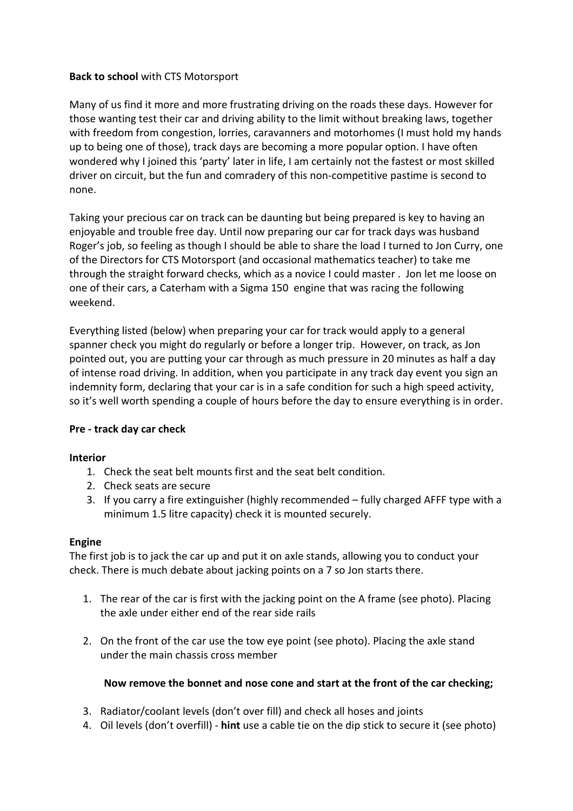# **Back to school** with CTS Motorsport

Many of us find it more and more frustrating driving on the roads these days. However for those wanting test their car and driving ability to the limit without breaking laws, together with freedom from congestion, lorries, caravanners and motorhomes (I must hold my hands up to being one of those), track days are becoming a more popular option. I have often wondered why I joined this 'party' later in life, I am certainly not the fastest or most skilled driver on circuit, but the fun and comradery of this non-competitive pastime is second to none.

Taking your precious car on track can be daunting but being prepared is key to having an enjoyable and trouble free day. Until now preparing our car for track days was husband Roger's job, so feeling as though I should be able to share the load I turned to Jon Curry, one of the Directors for CTS Motorsport (and occasional mathematics teacher) to take me through the straight forward checks, which as a novice I could master . Jon let me loose on one of their cars, a Caterham with a Sigma 150 engine that was racing the following weekend.

Everything listed (below) when preparing your car for track would apply to a general spanner check you might do regularly or before a longer trip. However, on track, as Jon pointed out, you are putting your car through as much pressure in 20 minutes as half a day of intense road driving. In addition, when you participate in any track day event you sign an indemnity form, declaring that your car is in a safe condition for such a high speed activity, so it's well worth spending a couple of hours before the day to ensure everything is in order.

# **Pre - track day car check**

### **Interior**

- 1. Check the seat belt mounts first and the seat belt condition.
- 2. Check seats are secure
- 3. If you carry a fire extinguisher (highly recommended fully charged AFFF type with a minimum 1.5 litre capacity) check it is mounted securely.

# **Engine**

The first job is to jack the car up and put it on axle stands, allowing you to conduct your check. There is much debate about jacking points on a 7 so Jon starts there.

- 1. The rear of the car is first with the jacking point on the A frame (see photo). Placing the axle under either end of the rear side rails
- 2. On the front of the car use the tow eye point (see photo). Placing the axle stand under the main chassis cross member

# **Now remove the bonnet and nose cone and start at the front of the car checking;**

- 3. Radiator/coolant levels (don't over fill) and check all hoses and joints
- 4. Oil levels (don't overfill) **hint** use a cable tie on the dip stick to secure it (see photo)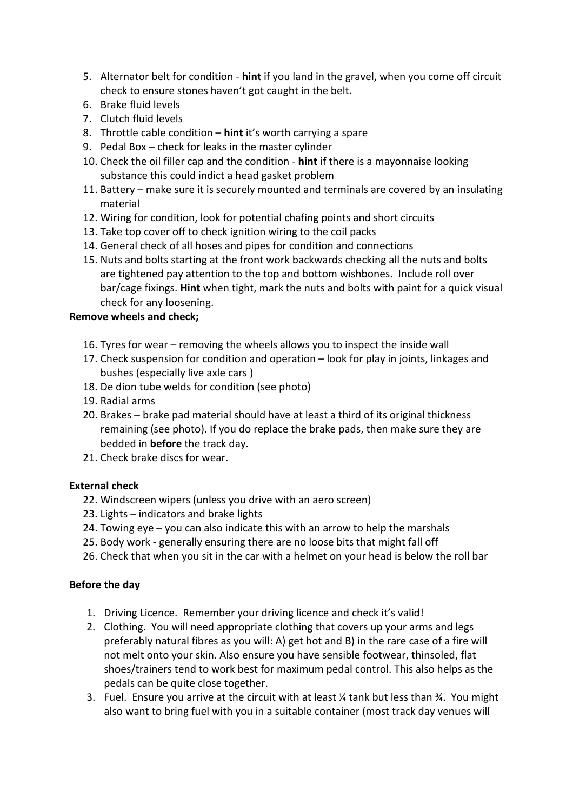- 5. Alternator belt for condition **hint** if you land in the gravel, when you come off circuit check to ensure stones haven't got caught in the belt.
- 6. Brake fluid levels
- 7. Clutch fluid levels
- 8. Throttle cable condition **hint** it's worth carrying a spare
- 9. Pedal Box check for leaks in the master cylinder
- 10. Check the oil filler cap and the condition **hint** if there is a mayonnaise looking substance this could indict a head gasket problem
- 11. Battery make sure it is securely mounted and terminals are covered by an insulating material
- 12. Wiring for condition, look for potential chafing points and short circuits
- 13. Take top cover off to check ignition wiring to the coil packs
- 14. General check of all hoses and pipes for condition and connections
- 15. Nuts and bolts starting at the front work backwards checking all the nuts and bolts are tightened pay attention to the top and bottom wishbones. Include roll over bar/cage fixings. **Hint** when tight, mark the nuts and bolts with paint for a quick visual check for any loosening.

# **Remove wheels and check;**

- 16. Tyres for wear removing the wheels allows you to inspect the inside wall
- 17. Check suspension for condition and operation look for play in joints, linkages and bushes (especially live axle cars )
- 18. De dion tube welds for condition (see photo)
- 19. Radial arms
- 20. Brakes brake pad material should have at least a third of its original thickness remaining (see photo). If you do replace the brake pads, then make sure they are bedded in **before** the track day.
- 21. Check brake discs for wear.

# **External check**

- 22. Windscreen wipers (unless you drive with an aero screen)
- 23. Lights indicators and brake lights
- 24. Towing eye you can also indicate this with an arrow to help the marshals
- 25. Body work generally ensuring there are no loose bits that might fall off
- 26. Check that when you sit in the car with a helmet on your head is below the roll bar

# **Before the day**

- 1. Driving Licence. Remember your driving licence and check it's valid!
- 2. Clothing. You will need appropriate clothing that covers up your arms and legs preferably natural fibres as you will: A) get hot and B) in the rare case of a fire will not melt onto your skin. Also ensure you have sensible footwear, thinsoled, flat shoes/trainers tend to work best for maximum pedal control. This also helps as the pedals can be quite close together.
- 3. Fuel. Ensure you arrive at the circuit with at least  $\frac{1}{4}$  tank but less than  $\frac{1}{4}$ . You might also want to bring fuel with you in a suitable container (most track day venues will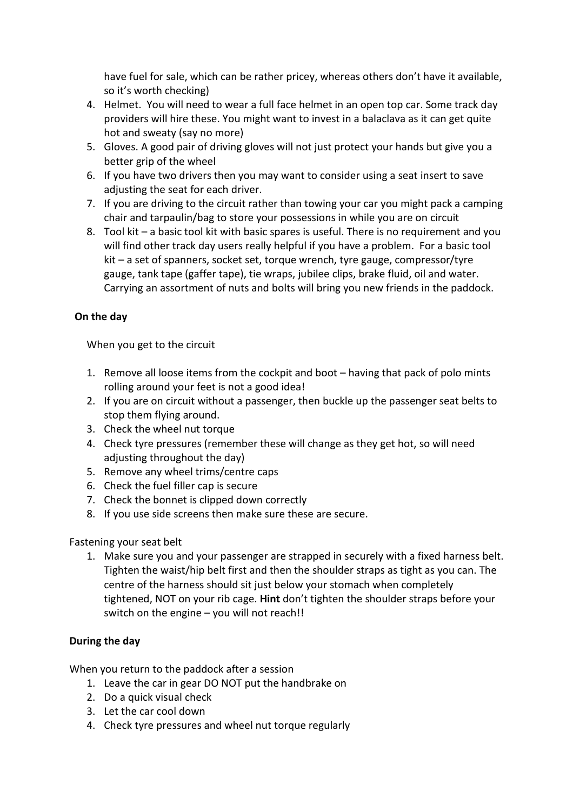have fuel for sale, which can be rather pricey, whereas others don't have it available, so it's worth checking)

- 4. Helmet. You will need to wear a full face helmet in an open top car. Some track day providers will hire these. You might want to invest in a balaclava as it can get quite hot and sweaty (say no more)
- 5. Gloves. A good pair of driving gloves will not just protect your hands but give you a better grip of the wheel
- 6. If you have two drivers then you may want to consider using a seat insert to save adjusting the seat for each driver.
- 7. If you are driving to the circuit rather than towing your car you might pack a camping chair and tarpaulin/bag to store your possessions in while you are on circuit
- 8. Tool kit a basic tool kit with basic spares is useful. There is no requirement and you will find other track day users really helpful if you have a problem. For a basic tool kit – a set of spanners, socket set, torque wrench, tyre gauge, compressor/tyre gauge, tank tape (gaffer tape), tie wraps, jubilee clips, brake fluid, oil and water. Carrying an assortment of nuts and bolts will bring you new friends in the paddock.

# **On the day**

When you get to the circuit

- 1. Remove all loose items from the cockpit and boot having that pack of polo mints rolling around your feet is not a good idea!
- 2. If you are on circuit without a passenger, then buckle up the passenger seat belts to stop them flying around.
- 3. Check the wheel nut torque
- 4. Check tyre pressures (remember these will change as they get hot, so will need adjusting throughout the day)
- 5. Remove any wheel trims/centre caps
- 6. Check the fuel filler cap is secure
- 7. Check the bonnet is clipped down correctly
- 8. If you use side screens then make sure these are secure.

Fastening your seat belt

1. Make sure you and your passenger are strapped in securely with a fixed harness belt. Tighten the waist/hip belt first and then the shoulder straps as tight as you can. The centre of the harness should sit just below your stomach when completely tightened, NOT on your rib cage. **Hint** don't tighten the shoulder straps before your switch on the engine – you will not reach!!

# **During the day**

When you return to the paddock after a session

- 1. Leave the car in gear DO NOT put the handbrake on
- 2. Do a quick visual check
- 3. Let the car cool down
- 4. Check tyre pressures and wheel nut torque regularly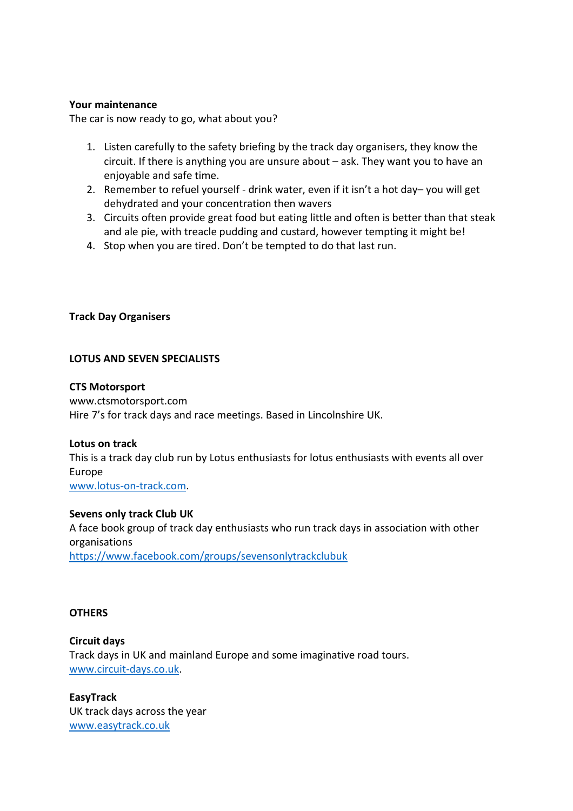#### **Your maintenance**

The car is now ready to go, what about you?

- 1. Listen carefully to the safety briefing by the track day organisers, they know the circuit. If there is anything you are unsure about – ask. They want you to have an enjoyable and safe time.
- 2. Remember to refuel yourself drink water, even if it isn't a hot day– you will get dehydrated and your concentration then wavers
- 3. Circuits often provide great food but eating little and often is better than that steak and ale pie, with treacle pudding and custard, however tempting it might be!
- 4. Stop when you are tired. Don't be tempted to do that last run.

### **Track Day Organisers**

#### **LOTUS AND SEVEN SPECIALISTS**

#### **CTS Motorsport**

www.ctsmotorsport.com Hire 7's for track days and race meetings. Based in Lincolnshire UK.

#### **Lotus on track**

This is a track day club run by Lotus enthusiasts for lotus enthusiasts with events all over Europe

[www.lotus-on-track.com.](http://www.lotus-on-track.com/)

#### **Sevens only track Club UK**

A face book group of track day enthusiasts who run track days in association with other organisations <https://www.facebook.com/groups/sevensonlytrackclubuk>

### **OTHERS**

**Circuit days**  Track days in UK and mainland Europe and some imaginative road tours. [www.circuit-days.co.uk.](http://www.circuit-days.co.uk/)

**EasyTrack** UK track days across the year [www.easytrack.co.uk](http://www.easytrack.co.uk/)